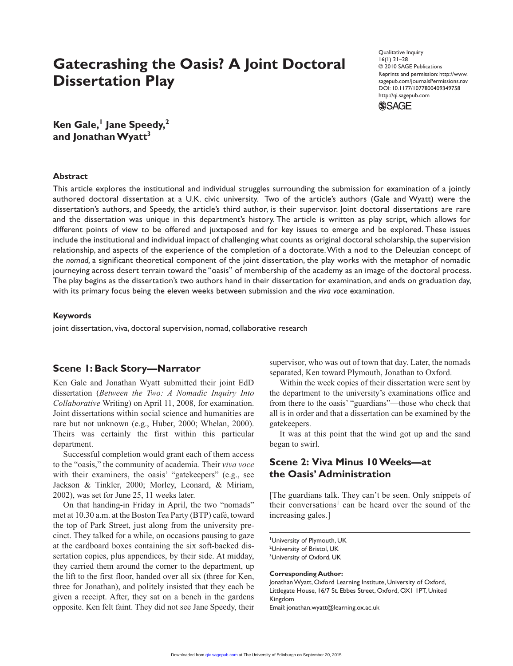# **Gatecrashing the Oasis? A Joint Doctoral Dissertation Play**

Qualitative Inquiry 16(1) 21–28 © 2010 SAGE Publications Reprints and permission: http://www. sagepub.com/journalsPermissions.nav DOI: 10.1177/1077800409349758 http://qi.sagepub.com



**Ken Gale,1 Jane Speedy,2 and Jonathan Wyatt3**

### **Abstract**

This article explores the institutional and individual struggles surrounding the submission for examination of a jointly authored doctoral dissertation at a U.K. civic university. Two of the article's authors (Gale and Wyatt) were the dissertation's authors, and Speedy, the article's third author, is their supervisor. Joint doctoral dissertations are rare and the dissertation was unique in this department's history. The article is written as play script, which allows for different points of view to be offered and juxtaposed and for key issues to emerge and be explored. These issues include the institutional and individual impact of challenging what counts as original doctoral scholarship, the supervision relationship, and aspects of the experience of the completion of a doctorate. With a nod to the Deleuzian concept of *the nomad,* a significant theoretical component of the joint dissertation, the play works with the metaphor of nomadic journeying across desert terrain toward the "oasis" of membership of the academy as an image of the doctoral process. The play begins as the dissertation's two authors hand in their dissertation for examination, and ends on graduation day, with its primary focus being the eleven weeks between submission and the *viva voce* examination.

### **Keywords**

joint dissertation, viva, doctoral supervision, nomad, collaborative research

### **Scene 1: Back Story—Narrator**

Ken Gale and Jonathan Wyatt submitted their joint EdD dissertation (*Between the Two: A Nomadic Inquiry Into Collaborative* Writing) on April 11, 2008, for examination. Joint dissertations within social science and humanities are rare but not unknown (e.g., Huber, 2000; Whelan, 2000). Theirs was certainly the first within this particular department.

Successful completion would grant each of them access to the "oasis," the community of academia. Their *viva voce*  with their examiners, the oasis' "gatekeepers" (e.g., see Jackson & Tinkler, 2000; Morley, Leonard, & Miriam, 2002), was set for June 25, 11 weeks later.

On that handing-in Friday in April, the two "nomads" met at 10.30 a.m. at the Boston Tea Party (BTP) café, toward the top of Park Street, just along from the university precinct. They talked for a while, on occasions pausing to gaze at the cardboard boxes containing the six soft-backed dissertation copies, plus appendices, by their side. At midday, they carried them around the corner to the department, up the lift to the first floor, handed over all six (three for Ken, three for Jonathan), and politely insisted that they each be given a receipt. After, they sat on a bench in the gardens opposite. Ken felt faint. They did not see Jane Speedy, their supervisor, who was out of town that day. Later, the nomads separated, Ken toward Plymouth, Jonathan to Oxford.

Within the week copies of their dissertation were sent by the department to the university's examinations office and from there to the oasis' "guardians"—those who check that all is in order and that a dissertation can be examined by the gatekeepers.

It was at this point that the wind got up and the sand began to swirl.

# **Scene 2: Viva Minus 10 Weeks—at the Oasis' Administration**

[The guardians talk. They can't be seen. Only snippets of their conversations<sup>1</sup> can be heard over the sound of the increasing gales.]

University of Plymouth, UK <sup>2</sup>University of Bristol, UK <sup>3</sup>University of Oxford, UK

#### **Corresponding Author:**

Jonathan Wyatt, Oxford Learning Institute, University of Oxford, Littlegate House, 16/7 St. Ebbes Street, Oxford, OX1 1PT, United Kingdom

Email: jonathan.wyatt@learning.ox.ac.uk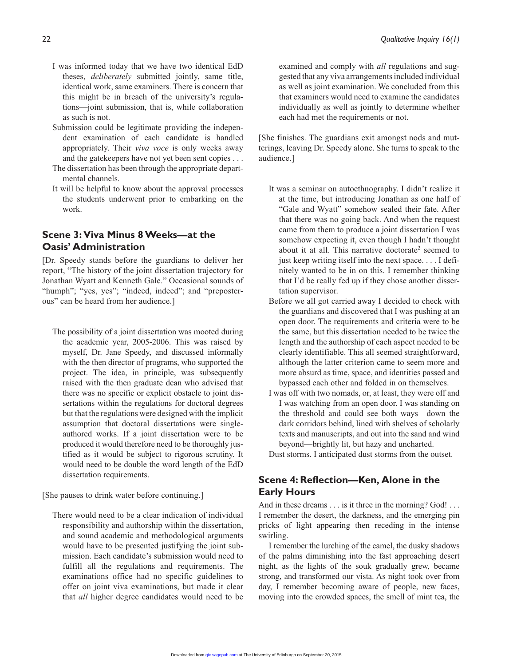- I was informed today that we have two identical EdD theses, *deliberately* submitted jointly, same title, identical work, same examiners. There is concern that this might be in breach of the university's regulations—joint submission, that is, while collaboration as such is not.
- Submission could be legitimate providing the independent examination of each candidate is handled appropriately. Their *viva voce* is only weeks away and the gatekeepers have not yet been sent copies . . .
- The dissertation has been through the appropriate departmental channels.
- It will be helpful to know about the approval processes the students underwent prior to embarking on the work.

# **Scene 3: Viva Minus 8 Weeks—at the Oasis' Administration**

[Dr. Speedy stands before the guardians to deliver her report, "The history of the joint dissertation trajectory for Jonathan Wyatt and Kenneth Gale." Occasional sounds of "humph"; "yes, yes"; "indeed, indeed"; and "preposterous" can be heard from her audience.]

The possibility of a joint dissertation was mooted during the academic year, 2005-2006. This was raised by myself, Dr. Jane Speedy, and discussed informally with the then director of programs, who supported the project. The idea, in principle, was subsequently raised with the then graduate dean who advised that there was no specific or explicit obstacle to joint dissertations within the regulations for doctoral degrees but that the regulations were designed with the implicit assumption that doctoral dissertations were singleauthored works. If a joint dissertation were to be produced it would therefore need to be thoroughly justified as it would be subject to rigorous scrutiny. It would need to be double the word length of the EdD dissertation requirements.

[She pauses to drink water before continuing.]

There would need to be a clear indication of individual responsibility and authorship within the dissertation, and sound academic and methodological arguments would have to be presented justifying the joint submission. Each candidate's submission would need to fulfill all the regulations and requirements. The examinations office had no specific guidelines to offer on joint viva examinations, but made it clear that *all* higher degree candidates would need to be examined and comply with *all* regulations and suggested that any viva arrangements included individual as well as joint examination. We concluded from this that examiners would need to examine the candidates individually as well as jointly to determine whether each had met the requirements or not.

[She finishes. The guardians exit amongst nods and mutterings, leaving Dr. Speedy alone. She turns to speak to the audience.]

- It was a seminar on autoethnography. I didn't realize it at the time, but introducing Jonathan as one half of "Gale and Wyatt" somehow sealed their fate. After that there was no going back. And when the request came from them to produce a joint dissertation I was somehow expecting it, even though I hadn't thought about it at all. This narrative doctorate<sup>2</sup> seemed to just keep writing itself into the next space. . . . I definitely wanted to be in on this. I remember thinking that I'd be really fed up if they chose another dissertation supervisor.
- Before we all got carried away I decided to check with the guardians and discovered that I was pushing at an open door. The requirements and criteria were to be the same, but this dissertation needed to be twice the length and the authorship of each aspect needed to be clearly identifiable. This all seemed straightforward, although the latter criterion came to seem more and more absurd as time, space, and identities passed and bypassed each other and folded in on themselves.
- I was off with two nomads, or, at least, they were off and I was watching from an open door. I was standing on the threshold and could see both ways—down the dark corridors behind, lined with shelves of scholarly texts and manuscripts, and out into the sand and wind beyond—brightly lit, but hazy and uncharted.

Dust storms. I anticipated dust storms from the outset.

# **Scene 4: Reflection—Ken, Alone in the Early Hours**

And in these dreams . . . is it three in the morning? God! . . . I remember the desert, the darkness, and the emerging pin pricks of light appearing then receding in the intense swirling.

I remember the lurching of the camel, the dusky shadows of the palms diminishing into the fast approaching desert night, as the lights of the souk gradually grew, became strong, and transformed our vista. As night took over from day, I remember becoming aware of people, new faces, moving into the crowded spaces, the smell of mint tea, the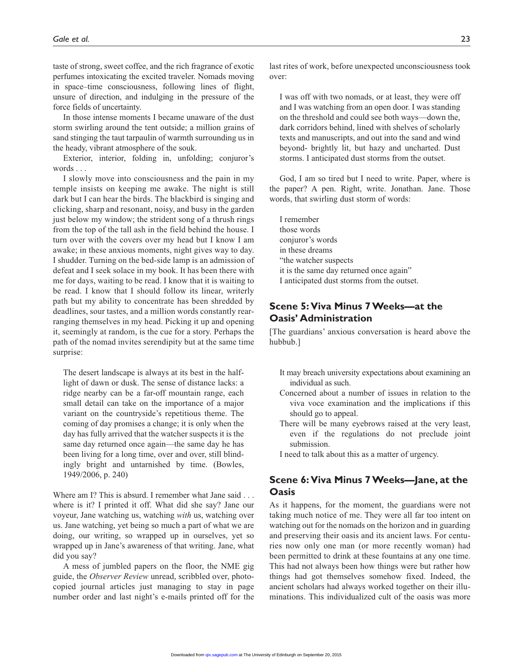taste of strong, sweet coffee, and the rich fragrance of exotic perfumes intoxicating the excited traveler. Nomads moving in space–time consciousness, following lines of flight, unsure of direction, and indulging in the pressure of the force fields of uncertainty.

In those intense moments I became unaware of the dust storm swirling around the tent outside; a million grains of sand stinging the taut tarpaulin of warmth surrounding us in the heady, vibrant atmosphere of the souk.

Exterior, interior, folding in, unfolding; conjuror's words . . .

I slowly move into consciousness and the pain in my temple insists on keeping me awake. The night is still dark but I can hear the birds. The blackbird is singing and clicking, sharp and resonant, noisy, and busy in the garden just below my window; the strident song of a thrush rings from the top of the tall ash in the field behind the house. I turn over with the covers over my head but I know I am awake; in these anxious moments, night gives way to day. I shudder. Turning on the bed-side lamp is an admission of defeat and I seek solace in my book. It has been there with me for days, waiting to be read. I know that it is waiting to be read. I know that I should follow its linear, writerly path but my ability to concentrate has been shredded by deadlines, sour tastes, and a million words constantly rearranging themselves in my head. Picking it up and opening it, seemingly at random, is the cue for a story. Perhaps the path of the nomad invites serendipity but at the same time surprise:

The desert landscape is always at its best in the halflight of dawn or dusk. The sense of distance lacks: a ridge nearby can be a far-off mountain range, each small detail can take on the importance of a major variant on the countryside's repetitious theme. The coming of day promises a change; it is only when the day has fully arrived that the watcher suspects it is the same day returned once again—the same day he has been living for a long time, over and over, still blindingly bright and untarnished by time. (Bowles, 1949/2006, p. 240)

Where am I? This is absurd. I remember what Jane said . . . where is it? I printed it off. What did she say? Jane our voyeur, Jane watching us, watching *with* us, watching over us. Jane watching, yet being so much a part of what we are doing, our writing, so wrapped up in ourselves, yet so wrapped up in Jane's awareness of that writing. Jane, what did you say?

A mess of jumbled papers on the floor, the NME gig guide, the *Observer Review* unread, scribbled over, photocopied journal articles just managing to stay in page number order and last night's e-mails printed off for the last rites of work, before unexpected unconsciousness took over:

I was off with two nomads, or at least, they were off and I was watching from an open door. I was standing on the threshold and could see both ways—down the, dark corridors behind, lined with shelves of scholarly texts and manuscripts, and out into the sand and wind beyond- brightly lit, but hazy and uncharted. Dust storms. I anticipated dust storms from the outset.

God, I am so tired but I need to write. Paper, where is the paper? A pen. Right, write. Jonathan. Jane. Those words, that swirling dust storm of words:

I remember those words conjuror's words in these dreams "the watcher suspects it is the same day returned once again" I anticipated dust storms from the outset.

# **Scene 5: Viva Minus 7 Weeks—at the Oasis' Administration**

[The guardians' anxious conversation is heard above the hubbub.]

- It may breach university expectations about examining an individual as such.
- Concerned about a number of issues in relation to the viva voce examination and the implications if this should go to appeal.
- There will be many eyebrows raised at the very least, even if the regulations do not preclude joint submission.
- I need to talk about this as a matter of urgency.

# **Scene 6: Viva Minus 7 Weeks—Jane, at the Oasis**

As it happens, for the moment, the guardians were not taking much notice of me. They were all far too intent on watching out for the nomads on the horizon and in guarding and preserving their oasis and its ancient laws. For centuries now only one man (or more recently woman) had been permitted to drink at these fountains at any one time. This had not always been how things were but rather how things had got themselves somehow fixed. Indeed, the ancient scholars had always worked together on their illuminations. This individualized cult of the oasis was more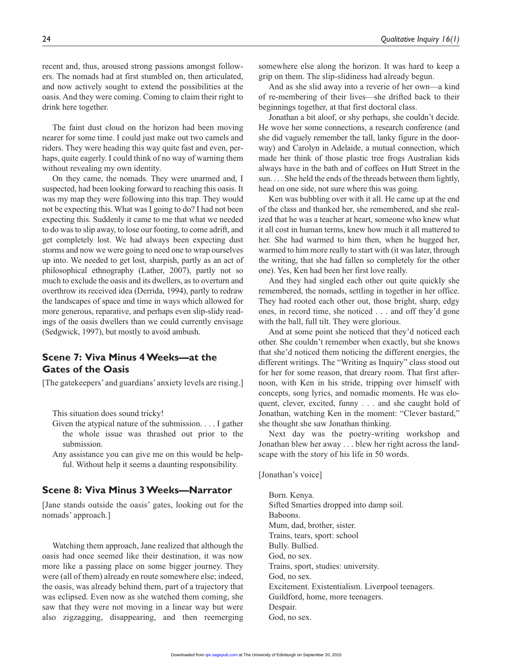recent and, thus, aroused strong passions amongst followers. The nomads had at first stumbled on, then articulated, and now actively sought to extend the possibilities at the oasis. And they were coming. Coming to claim their right to drink here together.

The faint dust cloud on the horizon had been moving nearer for some time. I could just make out two camels and riders. They were heading this way quite fast and even, perhaps, quite eagerly. I could think of no way of warning them without revealing my own identity.

On they came, the nomads. They were unarmed and, I suspected, had been looking forward to reaching this oasis. It was my map they were following into this trap. They would not be expecting this. What was I going to do? I had not been expecting this. Suddenly it came to me that what we needed to do was to slip away, to lose our footing, to come adrift, and get completely lost. We had always been expecting dust storms and now we were going to need one to wrap ourselves up into. We needed to get lost, sharpish, partly as an act of philosophical ethnography (Lather, 2007), partly not so much to exclude the oasis and its dwellers, as to overturn and overthrow its received idea (Derrida, 1994), partly to redraw the landscapes of space and time in ways which allowed for more generous, reparative, and perhaps even slip-slidy readings of the oasis dwellers than we could currently envisage (Sedgwick, 1997), but mostly to avoid ambush.

# **Scene 7: Viva Minus 4 Weeks—at the Gates of the Oasis**

[The gatekeepers' and guardians' anxiety levels are rising.]

This situation does sound tricky!

- Given the atypical nature of the submission. . . . I gather the whole issue was thrashed out prior to the submission.
- Any assistance you can give me on this would be helpful. Without help it seems a daunting responsibility.

### **Scene 8: Viva Minus 3 Weeks—Narrator**

[Jane stands outside the oasis' gates, looking out for the nomads' approach.]

Watching them approach, Jane realized that although the oasis had once seemed like their destination, it was now more like a passing place on some bigger journey. They were (all of them) already en route somewhere else; indeed, the oasis, was already behind them, part of a trajectory that was eclipsed. Even now as she watched them coming, she saw that they were not moving in a linear way but were also zigzagging, disappearing, and then reemerging somewhere else along the horizon. It was hard to keep a grip on them. The slip-slidiness had already begun.

And as she slid away into a reverie of her own—a kind of re-membering of their lives—she drifted back to their beginnings together, at that first doctoral class.

Jonathan a bit aloof, or shy perhaps, she couldn't decide. He wove her some connections, a research conference (and she did vaguely remember the tall, lanky figure in the doorway) and Carolyn in Adelaide, a mutual connection, which made her think of those plastic tree frogs Australian kids always have in the bath and of coffees on Hutt Street in the sun. . . . She held the ends of the threads between them lightly, head on one side, not sure where this was going.

Ken was bubbling over with it all. He came up at the end of the class and thanked her, she remembered, and she realized that he was a teacher at heart, someone who knew what it all cost in human terms, knew how much it all mattered to her. She had warmed to him then, when he hugged her, warmed to him more really to start with (it was later, through the writing, that she had fallen so completely for the other one). Yes, Ken had been her first love really.

And they had singled each other out quite quickly she remembered, the nomads, settling in together in her office. They had rooted each other out, those bright, sharp, edgy ones, in record time, she noticed . . . and off they'd gone with the ball, full tilt. They were glorious.

And at some point she noticed that they'd noticed each other. She couldn't remember when exactly, but she knows that she'd noticed them noticing the different energies, the different writings. The "Writing as Inquiry" class stood out for her for some reason, that dreary room. That first afternoon, with Ken in his stride, tripping over himself with concepts, song lyrics, and nomadic moments. He was eloquent, clever, excited, funny . . . and she caught hold of Jonathan, watching Ken in the moment: "Clever bastard," she thought she saw Jonathan thinking.

Next day was the poetry-writing workshop and Jonathan blew her away . . . blew her right across the landscape with the story of his life in 50 words.

[Jonathan's voice]

Born. Kenya. Sifted smarties dropped into damp soil. Baboons. Mum, dad, brother, sister. Trains, tears, sport: school Bully. Bullied. God, no sex. Trains, sport, studies: university. God, no sex. Excitement. Existentialism. Liverpool teenagers. Guildford, home, more teenagers. Despair. God, no sex.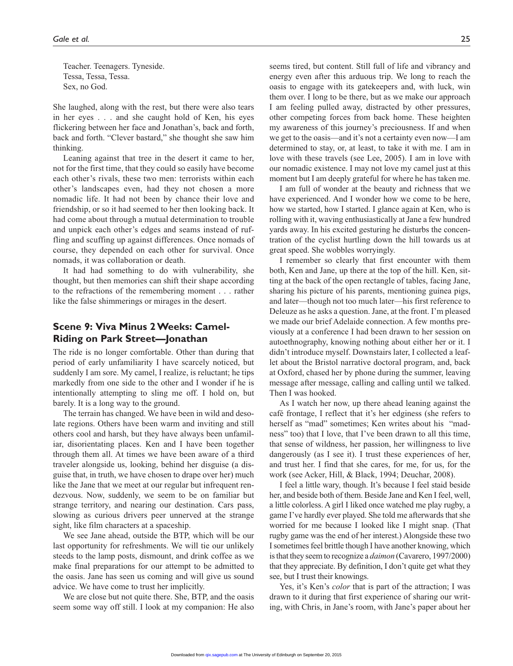Teacher. Teenagers. Tyneside. Tessa, Tessa, Tessa. Sex, no God.

She laughed, along with the rest, but there were also tears in her eyes . . . and she caught hold of Ken, his eyes flickering between her face and Jonathan's, back and forth, back and forth. "Clever bastard," she thought she saw him thinking.

Leaning against that tree in the desert it came to her, not for the first time, that they could so easily have become each other's rivals, these two men: terrorists within each other's landscapes even, had they not chosen a more nomadic life. It had not been by chance their love and friendship, or so it had seemed to her then looking back. It had come about through a mutual determination to trouble and unpick each other's edges and seams instead of ruffling and scuffing up against differences. Once nomads of course, they depended on each other for survival. Once nomads, it was collaboration or death.

It had had something to do with vulnerability, she thought, but then memories can shift their shape according to the refractions of the remembering moment . . . rather like the false shimmerings or mirages in the desert.

# **Scene 9: Viva Minus 2 Weeks: Camel-Riding on Park Street—Jonathan**

The ride is no longer comfortable. Other than during that period of early unfamiliarity I have scarcely noticed, but suddenly I am sore. My camel, I realize, is reluctant; he tips markedly from one side to the other and I wonder if he is intentionally attempting to sling me off. I hold on, but barely. It is a long way to the ground.

The terrain has changed. We have been in wild and desolate regions. Others have been warm and inviting and still others cool and harsh, but they have always been unfamiliar, disorientating places. Ken and I have been together through them all. At times we have been aware of a third traveler alongside us, looking, behind her disguise (a disguise that, in truth, we have chosen to drape over her) much like the Jane that we meet at our regular but infrequent rendezvous. Now, suddenly, we seem to be on familiar but strange territory, and nearing our destination. Cars pass, slowing as curious drivers peer unnerved at the strange sight, like film characters at a spaceship.

We see Jane ahead, outside the BTP, which will be our last opportunity for refreshments. We will tie our unlikely steeds to the lamp posts, dismount, and drink coffee as we make final preparations for our attempt to be admitted to the oasis. Jane has seen us coming and will give us sound advice. We have come to trust her implicitly.

We are close but not quite there. She, BTP, and the oasis seem some way off still. I look at my companion: He also

seems tired, but content. Still full of life and vibrancy and energy even after this arduous trip. We long to reach the oasis to engage with its gatekeepers and, with luck, win them over. I long to be there, but as we make our approach I am feeling pulled away, distracted by other pressures, other competing forces from back home. These heighten my awareness of this journey's preciousness. If and when we get to the oasis—and it's not a certainty even now—I am determined to stay, or, at least, to take it with me. I am in love with these travels (see Lee, 2005). I am in love with our nomadic existence. I may not love my camel just at this moment but I am deeply grateful for where he has taken me.

I am full of wonder at the beauty and richness that we have experienced. And I wonder how we come to be here, how we started, how I started. I glance again at Ken, who is rolling with it, waving enthusiastically at Jane a few hundred yards away. In his excited gesturing he disturbs the concentration of the cyclist hurtling down the hill towards us at great speed. She wobbles worryingly.

I remember so clearly that first encounter with them both, Ken and Jane, up there at the top of the hill. Ken, sitting at the back of the open rectangle of tables, facing Jane, sharing his picture of his parents, mentioning guinea pigs, and later—though not too much later—his first reference to Deleuze as he asks a question. Jane, at the front. I'm pleased we made our brief Adelaide connection. A few months previously at a conference I had been drawn to her session on autoethnography, knowing nothing about either her or it. I didn't introduce myself. Downstairs later, I collected a leaflet about the Bristol narrative doctoral program, and, back at Oxford, chased her by phone during the summer, leaving message after message, calling and calling until we talked. Then I was hooked.

As I watch her now, up there ahead leaning against the café frontage, I reflect that it's her edginess (she refers to herself as "mad" sometimes; Ken writes about his "madness" too) that I love, that I've been drawn to all this time, that sense of wildness, her passion, her willingness to live dangerously (as I see it). I trust these experiences of her, and trust her. I find that she cares, for me, for us, for the work (see Acker, Hill, & Black, 1994; Deuchar, 2008).

I feel a little wary, though. It's because I feel staid beside her, and beside both of them. Beside Jane and Ken I feel, well, a little colorless. A girl I liked once watched me play rugby, a game I've hardly ever played. She told me afterwards that she worried for me because I looked like I might snap. (That rugby game was the end of her interest.) Alongside these two I sometimes feel brittle though I have another knowing, which is that they seem to recognize a *daimon* (Cavarero, 1997/2000) that they appreciate. By definition, I don't quite get what they see, but I trust their knowings.

Yes, it's Ken's *color* that is part of the attraction; I was drawn to it during that first experience of sharing our writing, with Chris, in Jane's room, with Jane's paper about her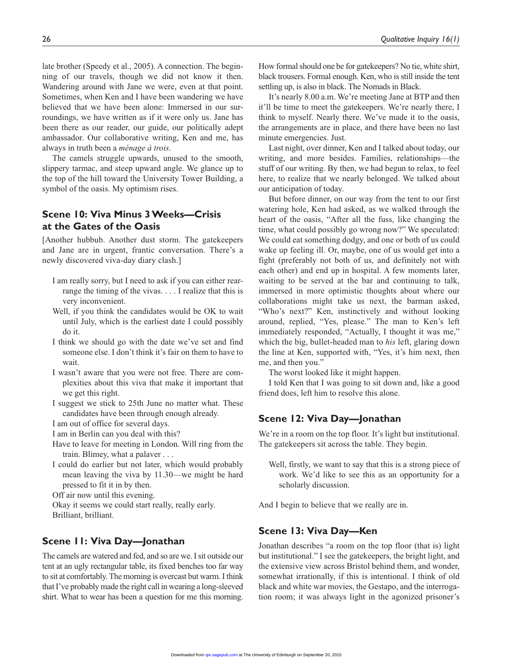late brother (Speedy et al., 2005). A connection. The beginning of our travels, though we did not know it then. Wandering around with Jane we were, even at that point. Sometimes, when Ken and I have been wandering we have believed that we have been alone: Immersed in our surroundings, we have written as if it were only us. Jane has been there as our reader, our guide, our politically adept ambassador. Our collaborative writing, Ken and me, has always in truth been a *ménage à trois*.

The camels struggle upwards, unused to the smooth, slippery tarmac, and steep upward angle. We glance up to the top of the hill toward the University Tower Building, a symbol of the oasis. My optimism rises.

# **Scene 10: Viva Minus 3 Weeks—Crisis at the Gates of the Oasis**

[Another hubbub. Another dust storm. The gatekeepers and Jane are in urgent, frantic conversation. There's a newly discovered viva-day diary clash.]

- I am really sorry, but I need to ask if you can either rearrange the timing of the vivas. . . . I realize that this is very inconvenient.
- Well, if you think the candidates would be OK to wait until July, which is the earliest date I could possibly do it.
- I think we should go with the date we've set and find someone else. I don't think it's fair on them to have to wait.
- I wasn't aware that you were not free. There are complexities about this viva that make it important that we get this right.
- I suggest we stick to 25th June no matter what. These candidates have been through enough already.

I am out of office for several days.

- I am in Berlin can you deal with this?
- Have to leave for meeting in London. Will ring from the train. Blimey, what a palaver . . .
- I could do earlier but not later, which would probably mean leaving the viva by 11.30—we might be hard pressed to fit it in by then.

Off air now until this evening.

Okay it seems we could start really, really early. Brilliant, brilliant.

### **Scene 11: Viva Day—Jonathan**

The camels are watered and fed, and so are we. I sit outside our tent at an ugly rectangular table, its fixed benches too far way to sit at comfortably. The morning is overcast but warm. I think that I've probably made the right call in wearing a long-sleeved shirt. What to wear has been a question for me this morning.

How formal should one be for gatekeepers? No tie, white shirt, black trousers. Formal enough. Ken, who is still inside the tent settling up, is also in black. The Nomads in Black.

It's nearly 8.00 a.m. We're meeting Jane at BTP and then it'll be time to meet the gatekeepers. We're nearly there, I think to myself. Nearly there. We've made it to the oasis, the arrangements are in place, and there have been no last minute emergencies. Just.

Last night, over dinner, Ken and I talked about today, our writing, and more besides. Families, relationships—the stuff of our writing. By then, we had begun to relax, to feel here, to realize that we nearly belonged. We talked about our anticipation of today.

But before dinner, on our way from the tent to our first watering hole, Ken had asked, as we walked through the heart of the oasis, "After all the fuss, like changing the time, what could possibly go wrong now?" We speculated: We could eat something dodgy, and one or both of us could wake up feeling ill. Or, maybe, one of us would get into a fight (preferably not both of us, and definitely not with each other) and end up in hospital. A few moments later, waiting to be served at the bar and continuing to talk, immersed in more optimistic thoughts about where our collaborations might take us next, the barman asked, "Who's next?" Ken, instinctively and without looking around, replied, "Yes, please." The man to Ken's left immediately responded, "Actually, I thought it was me," which the big, bullet-headed man to *his* left, glaring down the line at Ken, supported with, "Yes, it's him next, then me, and then you."

The worst looked like it might happen.

I told Ken that I was going to sit down and, like a good friend does, left him to resolve this alone.

### **Scene 12: Viva Day—Jonathan**

We're in a room on the top floor. It's light but institutional. The gatekeepers sit across the table. They begin.

Well, firstly, we want to say that this is a strong piece of work. We'd like to see this as an opportunity for a scholarly discussion.

And I begin to believe that we really are in.

### **Scene 13: Viva Day—Ken**

Jonathan describes "a room on the top floor (that is) light but institutional." I see the gatekeepers, the bright light, and the extensive view across Bristol behind them, and wonder, somewhat irrationally, if this is intentional. I think of old black and white war movies, the Gestapo, and the interrogation room; it was always light in the agonized prisoner's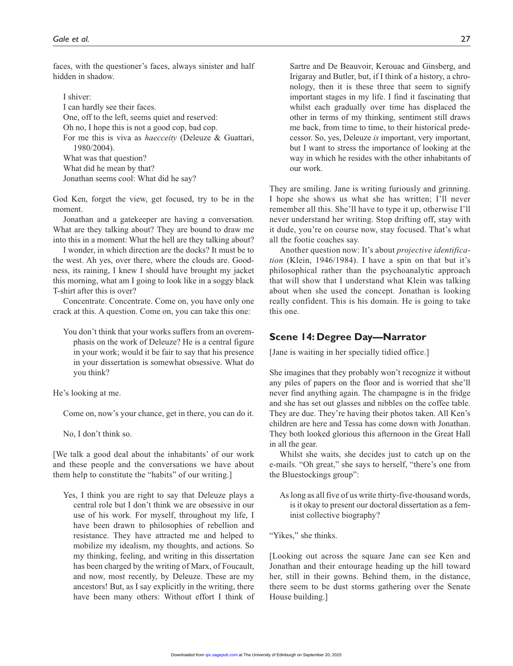faces, with the questioner's faces, always sinister and half hidden in shadow.

I shiver: I can hardly see their faces. One, off to the left, seems quiet and reserved: Oh no, I hope this is not a good cop, bad cop. For me this is viva as *haecceity* (Deleuze & Guattari, 1980/2004). What was that question? What did he mean by that? Jonathan seems cool: What did he say?

God Ken, forget the view, get focused, try to be in the moment.

Jonathan and a gatekeeper are having a conversation. What are they talking about? They are bound to draw me into this in a moment: What the hell are they talking about?

I wonder, in which direction are the docks? It must be to the west. Ah yes, over there, where the clouds are. Goodness, its raining, I knew I should have brought my jacket this morning, what am I going to look like in a soggy black T-shirt after this is over?

Concentrate. Concentrate. Come on, you have only one crack at this. A question. Come on, you can take this one:

You don't think that your works suffers from an overemphasis on the work of Deleuze? He is a central figure in your work; would it be fair to say that his presence in your dissertation is somewhat obsessive. What do you think?

He's looking at me.

Come on, now's your chance, get in there, you can do it.

No, I don't think so.

[We talk a good deal about the inhabitants' of our work and these people and the conversations we have about them help to constitute the "habits" of our writing.]

Yes, I think you are right to say that Deleuze plays a central role but I don't think we are obsessive in our use of his work. For myself, throughout my life, I have been drawn to philosophies of rebellion and resistance. They have attracted me and helped to mobilize my idealism, my thoughts, and actions. So my thinking, feeling, and writing in this dissertation has been charged by the writing of Marx, of Foucault, and now, most recently, by Deleuze. These are my ancestors! But, as I say explicitly in the writing, there have been many others: Without effort I think of Sartre and De Beauvoir, Kerouac and Ginsberg, and Irigaray and Butler, but, if I think of a history, a chronology, then it is these three that seem to signify important stages in my life. I find it fascinating that whilst each gradually over time has displaced the other in terms of my thinking, sentiment still draws me back, from time to time, to their historical predecessor. So, yes, Deleuze *is* important, very important, but I want to stress the importance of looking at the way in which he resides with the other inhabitants of our work.

They are smiling. Jane is writing furiously and grinning. I hope she shows us what she has written; I'll never remember all this. She'll have to type it up, otherwise I'll never understand her writing. Stop drifting off, stay with it dude, you're on course now, stay focused. That's what all the footie coaches say.

Another question now: It's about *projective identification* (Klein, 1946/1984). I have a spin on that but it's philosophical rather than the psychoanalytic approach that will show that I understand what Klein was talking about when she used the concept. Jonathan is looking really confident. This is his domain. He is going to take this one.

## **Scene 14: Degree Day—Narrator**

[Jane is waiting in her specially tidied office.]

She imagines that they probably won't recognize it without any piles of papers on the floor and is worried that she'll never find anything again. The champagne is in the fridge and she has set out glasses and nibbles on the coffee table. They are due. They're having their photos taken. All Ken's children are here and Tessa has come down with Jonathan. They both looked glorious this afternoon in the Great Hall in all the gear.

Whilst she waits, she decides just to catch up on the e-mails. "Oh great," she says to herself, "there's one from the Bluestockings group":

As long as all five of us write thirty-five-thousand words, is it okay to present our doctoral dissertation as a feminist collective biography?

"Yikes," she thinks.

[Looking out across the square Jane can see Ken and Jonathan and their entourage heading up the hill toward her, still in their gowns. Behind them, in the distance, there seem to be dust storms gathering over the Senate House building.]